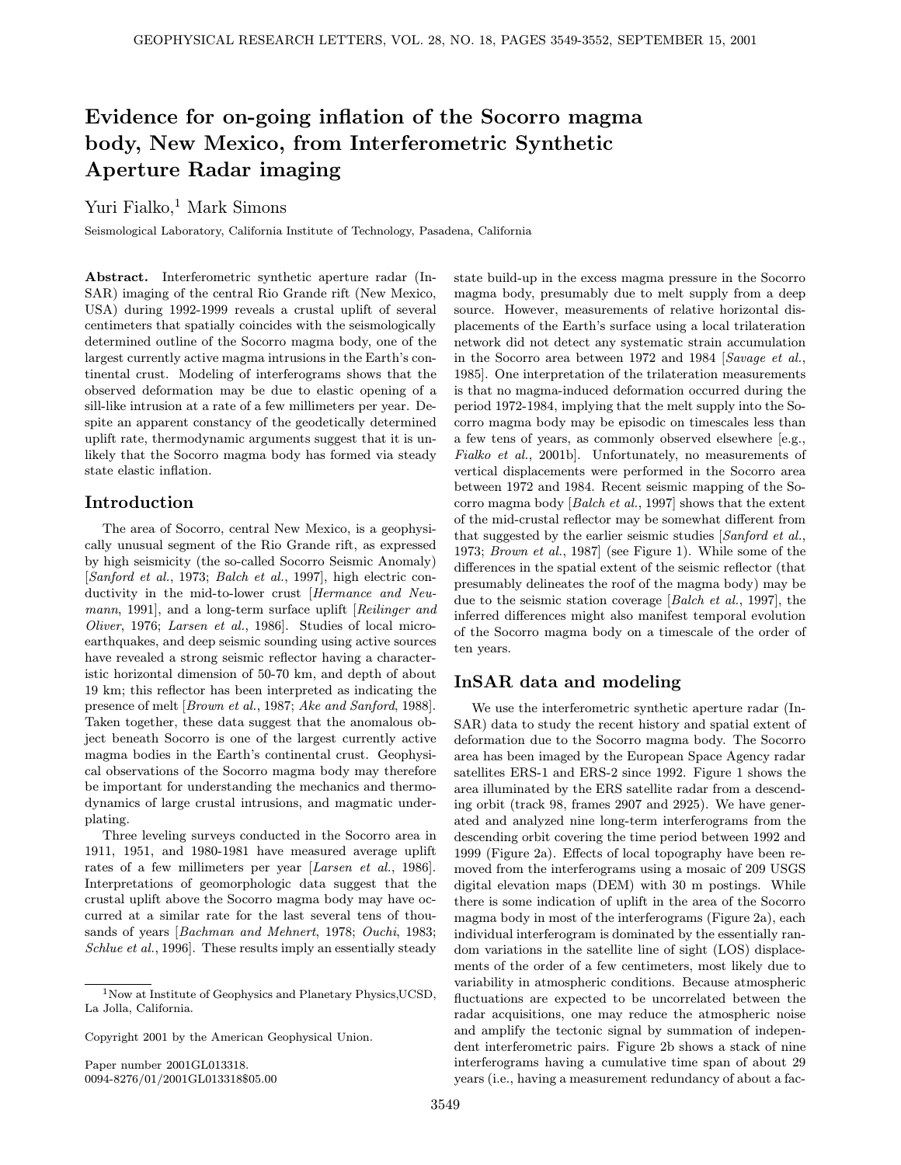# Evidence for on-going inflation of the Socorro magma body, New Mexico, from Interferometric Synthetic Aperture Radar imaging

## Yuri Fialko, $1$  Mark Simons

Seismological Laboratory, California Institute of Technology, Pasadena, California

Abstract. Interferometric synthetic aperture radar (In-SAR) imaging of the central Rio Grande rift (New Mexico, USA) during 1992-1999 reveals a crustal uplift of several centimeters that spatially coincides with the seismologically determined outline of the Socorro magma body, one of the largest currently active magma intrusions in the Earth's continental crust. Modeling of interferograms shows that the observed deformation may be due to elastic opening of a sill-like intrusion at a rate of a few millimeters per year. Despite an apparent constancy of the geodetically determined uplift rate, thermodynamic arguments suggest that it is unlikely that the Socorro magma body has formed via steady state elastic inflation.

#### Introduction

The area of Socorro, central New Mexico, is a geophysically unusual segment of the Rio Grande rift, as expressed by high seismicity (the so-called Socorro Seismic Anomaly) [Sanford et al., 1973; Balch et al., 1997], high electric conductivity in the mid-to-lower crust [Hermance and Neumann, 1991], and a long-term surface uplift [Reilinger and Oliver, 1976; Larsen et al., 1986]. Studies of local microearthquakes, and deep seismic sounding using active sources have revealed a strong seismic reflector having a characteristic horizontal dimension of 50-70 km, and depth of about 19 km; this reflector has been interpreted as indicating the presence of melt [Brown et al., 1987; Ake and Sanford, 1988]. Taken together, these data suggest that the anomalous object beneath Socorro is one of the largest currently active magma bodies in the Earth's continental crust. Geophysical observations of the Socorro magma body may therefore be important for understanding the mechanics and thermodynamics of large crustal intrusions, and magmatic underplating.

Three leveling surveys conducted in the Socorro area in 1911, 1951, and 1980-1981 have measured average uplift rates of a few millimeters per year [Larsen et al., 1986]. Interpretations of geomorphologic data suggest that the crustal uplift above the Socorro magma body may have occurred at a similar rate for the last several tens of thousands of years [Bachman and Mehnert, 1978; Ouchi, 1983; Schlue et al., 1996]. These results imply an essentially steady

Copyright 2001 by the American Geophysical Union.

Paper number 2001GL013318. 0094-8276/01/2001GL013318\$05.00 state build-up in the excess magma pressure in the Socorro magma body, presumably due to melt supply from a deep source. However, measurements of relative horizontal displacements of the Earth's surface using a local trilateration network did not detect any systematic strain accumulation in the Socorro area between 1972 and 1984 [Savage et al., 1985]. One interpretation of the trilateration measurements is that no magma-induced deformation occurred during the period 1972-1984, implying that the melt supply into the Socorro magma body may be episodic on timescales less than a few tens of years, as commonly observed elsewhere [e.g., Fialko et al., 2001b]. Unfortunately, no measurements of vertical displacements were performed in the Socorro area between 1972 and 1984. Recent seismic mapping of the Socorro magma body [Balch et al., 1997] shows that the extent of the mid-crustal reflector may be somewhat different from that suggested by the earlier seismic studies [Sanford et al., 1973; Brown et al., 1987] (see Figure 1). While some of the differences in the spatial extent of the seismic reflector (that presumably delineates the roof of the magma body) may be due to the seismic station coverage [Balch et al., 1997], the inferred differences might also manifest temporal evolution of the Socorro magma body on a timescale of the order of ten years.

#### InSAR data and modeling

We use the interferometric synthetic aperture radar (In-SAR) data to study the recent history and spatial extent of deformation due to the Socorro magma body. The Socorro area has been imaged by the European Space Agency radar satellites ERS-1 and ERS-2 since 1992. Figure 1 shows the area illuminated by the ERS satellite radar from a descending orbit (track 98, frames 2907 and 2925). We have generated and analyzed nine long-term interferograms from the descending orbit covering the time period between 1992 and 1999 (Figure 2a). Effects of local topography have been removed from the interferograms using a mosaic of 209 USGS digital elevation maps (DEM) with 30 m postings. While there is some indication of uplift in the area of the Socorro magma body in most of the interferograms (Figure 2a), each individual interferogram is dominated by the essentially random variations in the satellite line of sight (LOS) displacements of the order of a few centimeters, most likely due to variability in atmospheric conditions. Because atmospheric fluctuations are expected to be uncorrelated between the radar acquisitions, one may reduce the atmospheric noise and amplify the tectonic signal by summation of independent interferometric pairs. Figure 2b shows a stack of nine interferograms having a cumulative time span of about 29 years (i.e., having a measurement redundancy of about a fac-

<sup>&</sup>lt;sup>1</sup>Now at Institute of Geophysics and Planetary Physics, UCSD, La Jolla, California.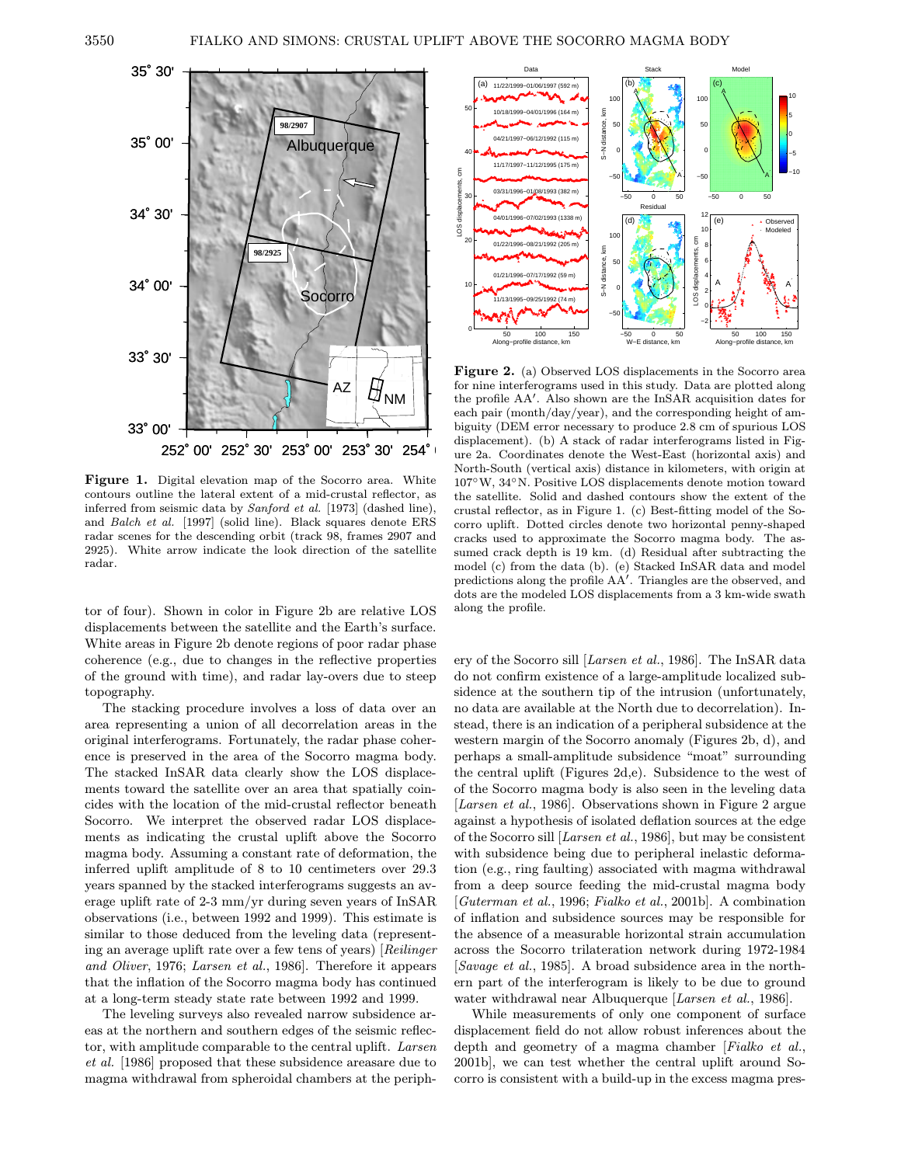

Figure 1. Digital elevation map of the Socorro area. White contours outline the lateral extent of a mid-crustal reflector, as inferred from seismic data by Sanford et al. [1973] (dashed line), and Balch et al. [1997] (solid line). Black squares denote ERS radar scenes for the descending orbit (track 98, frames 2907 and 2925). White arrow indicate the look direction of the satellite radar.

tor of four). Shown in color in Figure 2b are relative LOS displacements between the satellite and the Earth's surface. White areas in Figure 2b denote regions of poor radar phase coherence (e.g., due to changes in the reflective properties of the ground with time), and radar lay-overs due to steep topography.

The stacking procedure involves a loss of data over an area representing a union of all decorrelation areas in the original interferograms. Fortunately, the radar phase coherence is preserved in the area of the Socorro magma body. The stacked InSAR data clearly show the LOS displacements toward the satellite over an area that spatially coincides with the location of the mid-crustal reflector beneath Socorro. We interpret the observed radar LOS displacements as indicating the crustal uplift above the Socorro magma body. Assuming a constant rate of deformation, the inferred uplift amplitude of 8 to 10 centimeters over 29.3 years spanned by the stacked interferograms suggests an average uplift rate of 2-3 mm/yr during seven years of InSAR observations (i.e., between 1992 and 1999). This estimate is similar to those deduced from the leveling data (representing an average uplift rate over a few tens of years) [Reilinger and Oliver, 1976; Larsen et al., 1986]. Therefore it appears that the inflation of the Socorro magma body has continued at a long-term steady state rate between 1992 and 1999.

The leveling surveys also revealed narrow subsidence areas at the northern and southern edges of the seismic reflector, with amplitude comparable to the central uplift. Larsen et al. [1986] proposed that these subsidence areasare due to magma withdrawal from spheroidal chambers at the periph-



Figure 2. (a) Observed LOS displacements in the Socorro area for nine interferograms used in this study. Data are plotted along the profile AA'. Also shown are the InSAR acquisition dates for each pair (month/day/year), and the corresponding height of ambiguity (DEM error necessary to produce 2.8 cm of spurious LOS displacement). (b) A stack of radar interferograms listed in Figure 2a. Coordinates denote the West-East (horizontal axis) and North-South (vertical axis) distance in kilometers, with origin at 107◦W, 34◦N. Positive LOS displacements denote motion toward the satellite. Solid and dashed contours show the extent of the crustal reflector, as in Figure 1. (c) Best-fitting model of the Socorro uplift. Dotted circles denote two horizontal penny-shaped cracks used to approximate the Socorro magma body. The assumed crack depth is 19 km. (d) Residual after subtracting the model (c) from the data (b). (e) Stacked InSAR data and model predictions along the profile AA'. Triangles are the observed, and dots are the modeled LOS displacements from a 3 km-wide swath along the profile.

ery of the Socorro sill [Larsen et al., 1986]. The InSAR data do not confirm existence of a large-amplitude localized subsidence at the southern tip of the intrusion (unfortunately, no data are available at the North due to decorrelation). Instead, there is an indication of a peripheral subsidence at the western margin of the Socorro anomaly (Figures 2b, d), and perhaps a small-amplitude subsidence "moat" surrounding the central uplift (Figures 2d,e). Subsidence to the west of of the Socorro magma body is also seen in the leveling data [Larsen et al., 1986]. Observations shown in Figure 2 argue against a hypothesis of isolated deflation sources at the edge of the Socorro sill [Larsen et al., 1986], but may be consistent with subsidence being due to peripheral inelastic deformation (e.g., ring faulting) associated with magma withdrawal from a deep source feeding the mid-crustal magma body [Guterman et al., 1996; Fialko et al., 2001b]. A combination of inflation and subsidence sources may be responsible for the absence of a measurable horizontal strain accumulation across the Socorro trilateration network during 1972-1984 [Savage et al., 1985]. A broad subsidence area in the northern part of the interferogram is likely to be due to ground water withdrawal near Albuquerque [*Larsen et al.*, 1986].

While measurements of only one component of surface displacement field do not allow robust inferences about the depth and geometry of a magma chamber [Fialko et al., 2001b], we can test whether the central uplift around Socorro is consistent with a build-up in the excess magma pres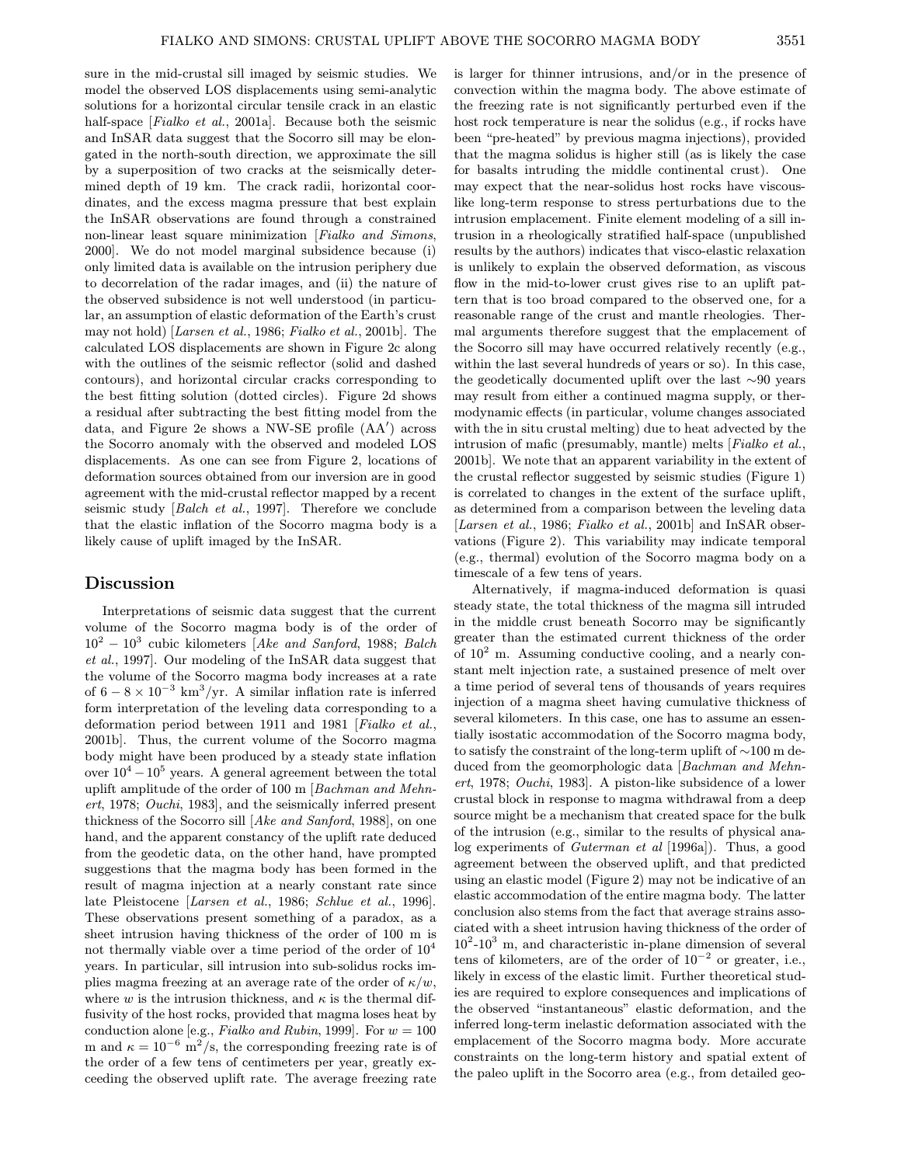sure in the mid-crustal sill imaged by seismic studies. We model the observed LOS displacements using semi-analytic solutions for a horizontal circular tensile crack in an elastic half-space [Fialko et al., 2001a]. Because both the seismic and InSAR data suggest that the Socorro sill may be elongated in the north-south direction, we approximate the sill by a superposition of two cracks at the seismically determined depth of 19 km. The crack radii, horizontal coordinates, and the excess magma pressure that best explain the InSAR observations are found through a constrained non-linear least square minimization [Fialko and Simons, 2000]. We do not model marginal subsidence because (i) only limited data is available on the intrusion periphery due to decorrelation of the radar images, and (ii) the nature of the observed subsidence is not well understood (in particular, an assumption of elastic deformation of the Earth's crust may not hold) [Larsen et al., 1986; Fialko et al., 2001b]. The calculated LOS displacements are shown in Figure 2c along with the outlines of the seismic reflector (solid and dashed contours), and horizontal circular cracks corresponding to the best fitting solution (dotted circles). Figure 2d shows a residual after subtracting the best fitting model from the data, and Figure 2e shows a NW-SE profile (AA') across the Socorro anomaly with the observed and modeled LOS displacements. As one can see from Figure 2, locations of deformation sources obtained from our inversion are in good agreement with the mid-crustal reflector mapped by a recent seismic study [Balch et al., 1997]. Therefore we conclude that the elastic inflation of the Socorro magma body is a likely cause of uplift imaged by the InSAR.

#### Discussion

Interpretations of seismic data suggest that the current volume of the Socorro magma body is of the order of  $10^2 - 10^3$  cubic kilometers [Ake and Sanford, 1988; Balch et al., 1997]. Our modeling of the InSAR data suggest that the volume of the Socorro magma body increases at a rate of  $6 - 8 \times 10^{-3}$  km<sup>3</sup>/yr. A similar inflation rate is inferred form interpretation of the leveling data corresponding to a deformation period between 1911 and 1981 [Fialko et al., 2001b]. Thus, the current volume of the Socorro magma body might have been produced by a steady state inflation over  $10^4 - 10^5$  years. A general agreement between the total uplift amplitude of the order of 100 m [Bachman and Mehnert, 1978; Ouchi, 1983], and the seismically inferred present thickness of the Socorro sill [Ake and Sanford, 1988], on one hand, and the apparent constancy of the uplift rate deduced from the geodetic data, on the other hand, have prompted suggestions that the magma body has been formed in the result of magma injection at a nearly constant rate since late Pleistocene [Larsen et al., 1986; Schlue et al., 1996]. These observations present something of a paradox, as a sheet intrusion having thickness of the order of 100 m is not thermally viable over a time period of the order of  $10<sup>4</sup>$ years. In particular, sill intrusion into sub-solidus rocks implies magma freezing at an average rate of the order of  $\kappa/w$ , where w is the intrusion thickness, and  $\kappa$  is the thermal diffusivity of the host rocks, provided that magma loses heat by conduction alone [e.g., Fialko and Rubin, 1999]. For  $w = 100$ m and  $\kappa = 10^{-6}$  m<sup>2</sup>/s, the corresponding freezing rate is of the order of a few tens of centimeters per year, greatly exceeding the observed uplift rate. The average freezing rate is larger for thinner intrusions, and/or in the presence of convection within the magma body. The above estimate of the freezing rate is not significantly perturbed even if the host rock temperature is near the solidus (e.g., if rocks have been "pre-heated" by previous magma injections), provided that the magma solidus is higher still (as is likely the case for basalts intruding the middle continental crust). One may expect that the near-solidus host rocks have viscouslike long-term response to stress perturbations due to the intrusion emplacement. Finite element modeling of a sill intrusion in a rheologically stratified half-space (unpublished results by the authors) indicates that visco-elastic relaxation is unlikely to explain the observed deformation, as viscous flow in the mid-to-lower crust gives rise to an uplift pattern that is too broad compared to the observed one, for a reasonable range of the crust and mantle rheologies. Thermal arguments therefore suggest that the emplacement of the Socorro sill may have occurred relatively recently (e.g., within the last several hundreds of years or so). In this case, the geodetically documented uplift over the last ∼90 years may result from either a continued magma supply, or thermodynamic effects (in particular, volume changes associated with the in situ crustal melting) due to heat advected by the intrusion of mafic (presumably, mantle) melts [Fialko et al., 2001b]. We note that an apparent variability in the extent of the crustal reflector suggested by seismic studies (Figure 1) is correlated to changes in the extent of the surface uplift, as determined from a comparison between the leveling data [Larsen et al., 1986; Fialko et al., 2001b] and InSAR observations (Figure 2). This variability may indicate temporal (e.g., thermal) evolution of the Socorro magma body on a timescale of a few tens of years.

Alternatively, if magma-induced deformation is quasi steady state, the total thickness of the magma sill intruded in the middle crust beneath Socorro may be significantly greater than the estimated current thickness of the order of  $10^2$  m. Assuming conductive cooling, and a nearly constant melt injection rate, a sustained presence of melt over a time period of several tens of thousands of years requires injection of a magma sheet having cumulative thickness of several kilometers. In this case, one has to assume an essentially isostatic accommodation of the Socorro magma body, to satisfy the constraint of the long-term uplift of ∼100 m deduced from the geomorphologic data [Bachman and Mehnert, 1978; Ouchi, 1983]. A piston-like subsidence of a lower crustal block in response to magma withdrawal from a deep source might be a mechanism that created space for the bulk of the intrusion (e.g., similar to the results of physical analog experiments of Guterman et al [1996a]). Thus, a good agreement between the observed uplift, and that predicted using an elastic model (Figure 2) may not be indicative of an elastic accommodation of the entire magma body. The latter conclusion also stems from the fact that average strains associated with a sheet intrusion having thickness of the order of  $10^{2}-10^{3}$  m, and characteristic in-plane dimension of several tens of kilometers, are of the order of  $10^{-2}$  or greater, i.e., likely in excess of the elastic limit. Further theoretical studies are required to explore consequences and implications of the observed "instantaneous" elastic deformation, and the inferred long-term inelastic deformation associated with the emplacement of the Socorro magma body. More accurate constraints on the long-term history and spatial extent of the paleo uplift in the Socorro area (e.g., from detailed geo